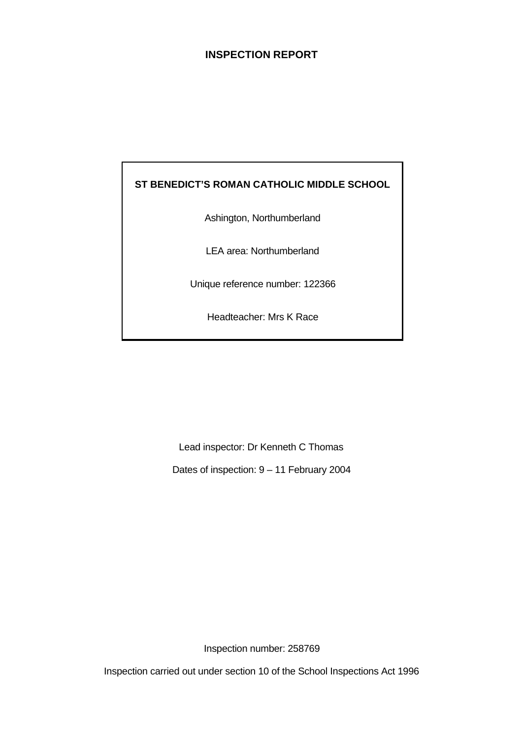# **INSPECTION REPORT**

# **ST BENEDICT'S ROMAN CATHOLIC MIDDLE SCHOOL**

Ashington, Northumberland

LEA area: Northumberland

Unique reference number: 122366

Headteacher: Mrs K Race

Lead inspector: Dr Kenneth C Thomas

Dates of inspection: 9 – 11 February 2004

Inspection number: 258769

Inspection carried out under section 10 of the School Inspections Act 1996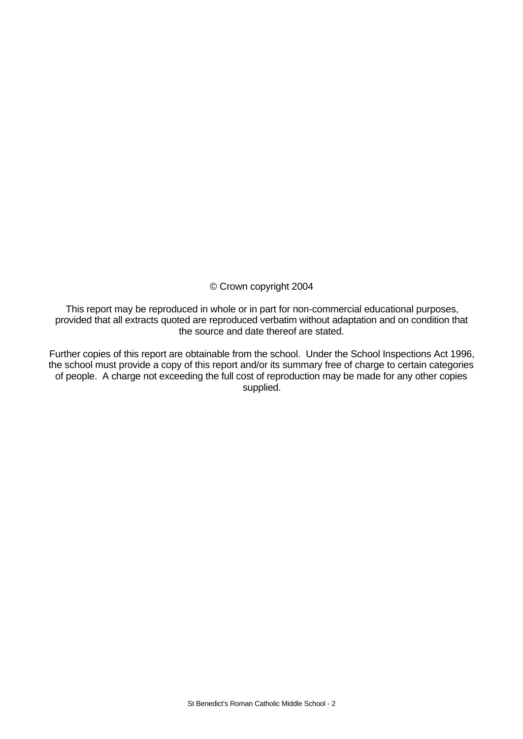© Crown copyright 2004

This report may be reproduced in whole or in part for non-commercial educational purposes, provided that all extracts quoted are reproduced verbatim without adaptation and on condition that the source and date thereof are stated.

Further copies of this report are obtainable from the school. Under the School Inspections Act 1996, the school must provide a copy of this report and/or its summary free of charge to certain categories of people. A charge not exceeding the full cost of reproduction may be made for any other copies supplied.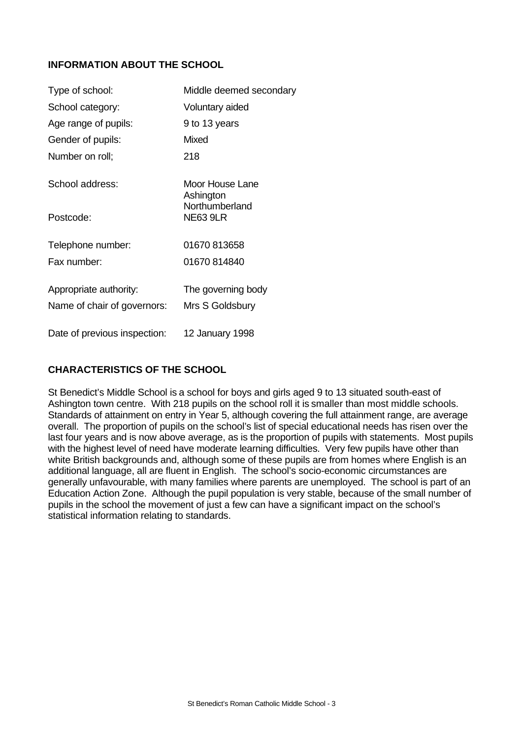# **INFORMATION ABOUT THE SCHOOL**

| Type of school:              | Middle deemed secondary           |
|------------------------------|-----------------------------------|
| School category:             | Voluntary aided                   |
| Age range of pupils:         | 9 to 13 years                     |
| Gender of pupils:            | <b>Mixed</b>                      |
| Number on roll;              | 218                               |
| School address:              | Moor House Lane<br>Ashington      |
| Postcode:                    | Northumberland<br><b>NE63 9LR</b> |
| Telephone number:            | 01670 813658                      |
| Fax number:                  | 01670 814840                      |
| Appropriate authority:       | The governing body                |
| Name of chair of governors:  | Mrs S Goldsbury                   |
| Date of previous inspection: | 12 January 1998                   |

# **CHARACTERISTICS OF THE SCHOOL**

St Benedict's Middle School is a school for boys and girls aged 9 to 13 situated south-east of Ashington town centre. With 218 pupils on the school roll it is smaller than most middle schools. Standards of attainment on entry in Year 5, although covering the full attainment range, are average overall. The proportion of pupils on the school's list of special educational needs has risen over the last four years and is now above average, as is the proportion of pupils with statements. Most pupils with the highest level of need have moderate learning difficulties. Very few pupils have other than white British backgrounds and, although some of these pupils are from homes where English is an additional language, all are fluent in English. The school's socio-economic circumstances are generally unfavourable, with many families where parents are unemployed. The school is part of an Education Action Zone. Although the pupil population is very stable, because of the small number of pupils in the school the movement of just a few can have a significant impact on the school's statistical information relating to standards.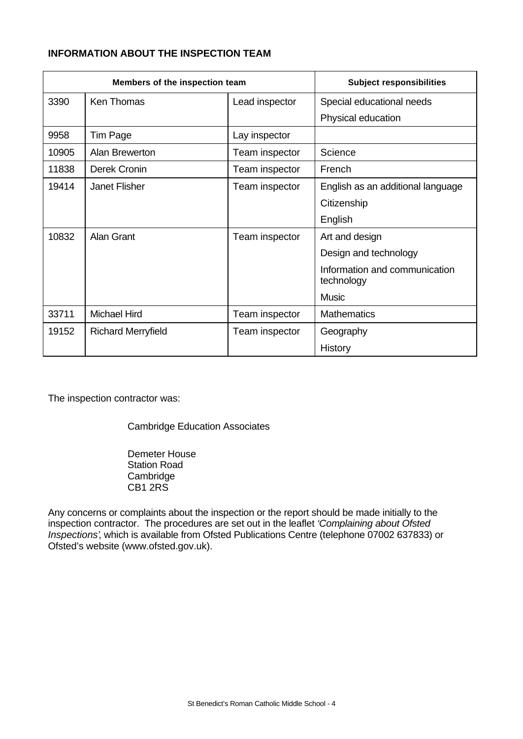# **INFORMATION ABOUT THE INSPECTION TEAM**

| Members of the inspection team |                           | <b>Subject responsibilities</b> |                                             |
|--------------------------------|---------------------------|---------------------------------|---------------------------------------------|
| 3390                           | <b>Ken Thomas</b>         | Lead inspector                  | Special educational needs                   |
|                                |                           |                                 | Physical education                          |
| 9958                           | Tim Page                  | Lay inspector                   |                                             |
| 10905                          | Alan Brewerton            | Team inspector                  | Science                                     |
| 11838                          | Derek Cronin              | Team inspector                  | French                                      |
| 19414                          | Janet Flisher             | Team inspector                  | English as an additional language           |
|                                |                           |                                 | Citizenship                                 |
|                                |                           |                                 | English                                     |
| 10832                          | Alan Grant                | Team inspector                  | Art and design                              |
|                                |                           |                                 | Design and technology                       |
|                                |                           |                                 | Information and communication<br>technology |
|                                |                           |                                 | <b>Music</b>                                |
| 33711                          | <b>Michael Hird</b>       | Team inspector                  | <b>Mathematics</b>                          |
| 19152                          | <b>Richard Merryfield</b> | Team inspector                  | Geography                                   |
|                                |                           |                                 | History                                     |

The inspection contractor was:

Cambridge Education Associates

Demeter House Station Road **Cambridge** CB1 2RS

Any concerns or complaints about the inspection or the report should be made initially to the inspection contractor. The procedures are set out in the leaflet *'Complaining about Ofsted Inspections'*, which is available from Ofsted Publications Centre (telephone 07002 637833) or Ofsted's website (www.ofsted.gov.uk).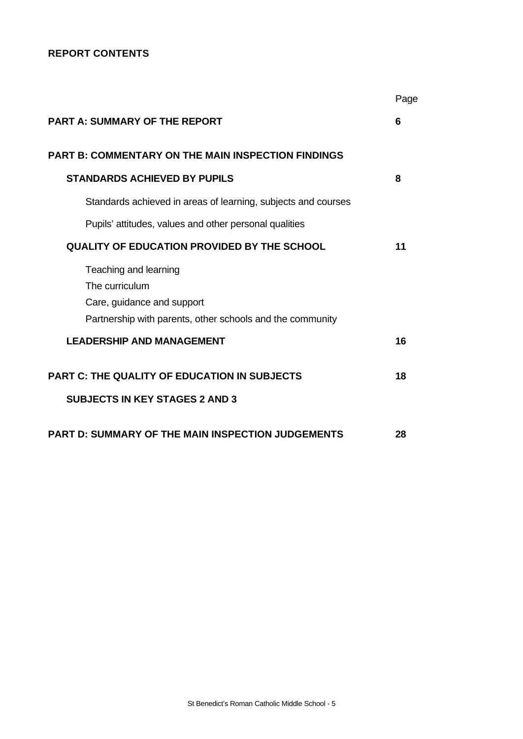# **REPORT CONTENTS**

|                                                               | Page |
|---------------------------------------------------------------|------|
| <b>PART A: SUMMARY OF THE REPORT</b>                          | 6    |
| <b>PART B: COMMENTARY ON THE MAIN INSPECTION FINDINGS</b>     |      |
| <b>STANDARDS ACHIEVED BY PUPILS</b>                           | 8    |
| Standards achieved in areas of learning, subjects and courses |      |
| Pupils' attitudes, values and other personal qualities        |      |
| QUALITY OF EDUCATION PROVIDED BY THE SCHOOL                   | 11   |
| Teaching and learning                                         |      |
| The curriculum                                                |      |
| Care, guidance and support                                    |      |
| Partnership with parents, other schools and the community     |      |
| <b>LEADERSHIP AND MANAGEMENT</b>                              | 16   |
| <b>PART C: THE QUALITY OF EDUCATION IN SUBJECTS</b>           | 18   |
| <b>SUBJECTS IN KEY STAGES 2 AND 3</b>                         |      |
| <b>PART D: SUMMARY OF THE MAIN INSPECTION JUDGEMENTS</b>      | 28   |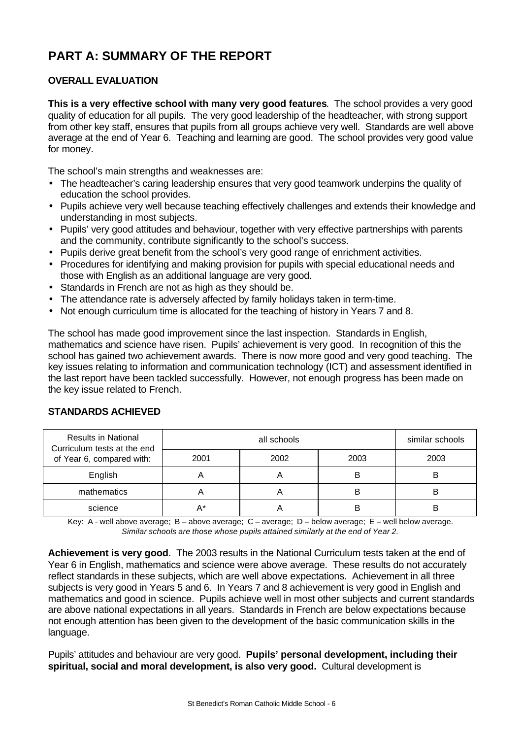# **PART A: SUMMARY OF THE REPORT**

# **OVERALL EVALUATION**

**This is a very effective school with many very good features**. The school provides a very good quality of education for all pupils. The very good leadership of the headteacher, with strong support from other key staff, ensures that pupils from all groups achieve very well. Standards are well above average at the end of Year 6. Teaching and learning are good. The school provides very good value for money.

The school's main strengths and weaknesses are:

- The headteacher's caring leadership ensures that very good teamwork underpins the quality of education the school provides.
- Pupils achieve very well because teaching effectively challenges and extends their knowledge and understanding in most subjects.
- Pupils' very good attitudes and behaviour, together with very effective partnerships with parents and the community, contribute significantly to the school's success.
- Pupils derive great benefit from the school's very good range of enrichment activities.
- Procedures for identifying and making provision for pupils with special educational needs and those with English as an additional language are very good.
- Standards in French are not as high as they should be.
- The attendance rate is adversely affected by family holidays taken in term-time.
- Not enough curriculum time is allocated for the teaching of history in Years 7 and 8.

The school has made good improvement since the last inspection. Standards in English, mathematics and science have risen. Pupils' achievement is very good. In recognition of this the school has gained two achievement awards. There is now more good and very good teaching. The key issues relating to information and communication technology (ICT) and assessment identified in the last report have been tackled successfully. However, not enough progress has been made on the key issue related to French.

| <b>Results in National</b><br>Curriculum tests at the end<br>of Year 6, compared with: |      | similar schools |      |      |
|----------------------------------------------------------------------------------------|------|-----------------|------|------|
|                                                                                        | 2001 | 2002            | 2003 | 2003 |
| English                                                                                |      | ⌒               | В    |      |
| mathematics                                                                            |      |                 | в    |      |
| science                                                                                |      |                 | B    |      |

# **STANDARDS ACHIEVED**

Key: A - well above average; B – above average; C – average; D – below average; E – well below average. *Similar schools are those whose pupils attained similarly at the end of Year 2.*

**Achievement is very good**. The 2003 results in the National Curriculum tests taken at the end of Year 6 in English, mathematics and science were above average. These results do not accurately reflect standards in these subjects, which are well above expectations. Achievement in all three subjects is very good in Years 5 and 6. In Years 7 and 8 achievement is very good in English and mathematics and good in science. Pupils achieve well in most other subjects and current standards are above national expectations in all years. Standards in French are below expectations because not enough attention has been given to the development of the basic communication skills in the language.

Pupils' attitudes and behaviour are very good. **Pupils' personal development, including their spiritual, social and moral development, is also very good.** Cultural development is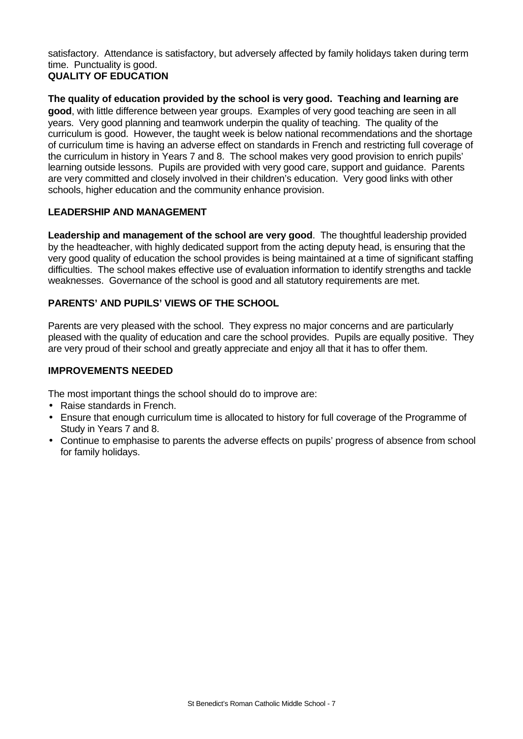satisfactory. Attendance is satisfactory, but adversely affected by family holidays taken during term time. Punctuality is good.

# **QUALITY OF EDUCATION**

**The quality of education provided by the school is very good. Teaching and learning are good**, with little difference between year groups. Examples of very good teaching are seen in all years. Very good planning and teamwork underpin the quality of teaching. The quality of the curriculum is good. However, the taught week is below national recommendations and the shortage of curriculum time is having an adverse effect on standards in French and restricting full coverage of the curriculum in history in Years 7 and 8. The school makes very good provision to enrich pupils' learning outside lessons. Pupils are provided with very good care, support and guidance. Parents are very committed and closely involved in their children's education. Very good links with other schools, higher education and the community enhance provision.

# **LEADERSHIP AND MANAGEMENT**

**Leadership and management of the school are very good**. The thoughtful leadership provided by the headteacher, with highly dedicated support from the acting deputy head, is ensuring that the very good quality of education the school provides is being maintained at a time of significant staffing difficulties. The school makes effective use of evaluation information to identify strengths and tackle weaknesses. Governance of the school is good and all statutory requirements are met.

# **PARENTS' AND PUPILS' VIEWS OF THE SCHOOL**

Parents are very pleased with the school. They express no major concerns and are particularly pleased with the quality of education and care the school provides. Pupils are equally positive. They are very proud of their school and greatly appreciate and enjoy all that it has to offer them.

# **IMPROVEMENTS NEEDED**

The most important things the school should do to improve are:

- Raise standards in French.
- Ensure that enough curriculum time is allocated to history for full coverage of the Programme of Study in Years 7 and 8.
- Continue to emphasise to parents the adverse effects on pupils' progress of absence from school for family holidays.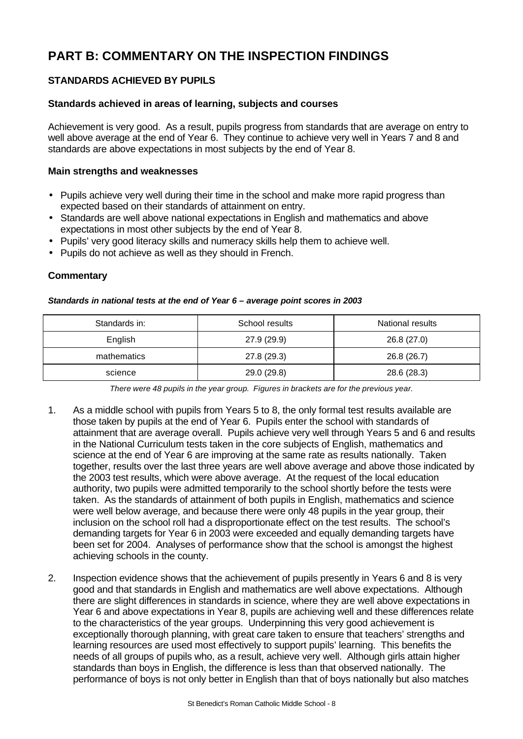# **PART B: COMMENTARY ON THE INSPECTION FINDINGS**

# **STANDARDS ACHIEVED BY PUPILS**

#### **Standards achieved in areas of learning, subjects and courses**

Achievement is very good. As a result, pupils progress from standards that are average on entry to well above average at the end of Year 6. They continue to achieve very well in Years 7 and 8 and standards are above expectations in most subjects by the end of Year 8.

#### **Main strengths and weaknesses**

- Pupils achieve very well during their time in the school and make more rapid progress than expected based on their standards of attainment on entry.
- Standards are well above national expectations in English and mathematics and above expectations in most other subjects by the end of Year 8.
- Pupils' very good literacy skills and numeracy skills help them to achieve well.
- Pupils do not achieve as well as they should in French.

#### **Commentary**

#### *Standards in national tests at the end of Year 6 – average point scores in 2003*

| Standards in: | School results |             |
|---------------|----------------|-------------|
| English       | 27.9 (29.9)    | 26.8 (27.0) |
| mathematics   | 27.8 (29.3)    | 26.8 (26.7) |
| science       | 29.0 (29.8)    | 28.6 (28.3) |

*There were 48 pupils in the year group. Figures in brackets are for the previous year.*

- 1. As a middle school with pupils from Years 5 to 8, the only formal test results available are those taken by pupils at the end of Year 6. Pupils enter the school with standards of attainment that are average overall. Pupils achieve very well through Years 5 and 6 and results in the National Curriculum tests taken in the core subjects of English, mathematics and science at the end of Year 6 are improving at the same rate as results nationally. Taken together, results over the last three years are well above average and above those indicated by the 2003 test results, which were above average. At the request of the local education authority, two pupils were admitted temporarily to the school shortly before the tests were taken. As the standards of attainment of both pupils in English, mathematics and science were well below average, and because there were only 48 pupils in the year group, their inclusion on the school roll had a disproportionate effect on the test results. The school's demanding targets for Year 6 in 2003 were exceeded and equally demanding targets have been set for 2004. Analyses of performance show that the school is amongst the highest achieving schools in the county.
- 2. Inspection evidence shows that the achievement of pupils presently in Years 6 and 8 is very good and that standards in English and mathematics are well above expectations. Although there are slight differences in standards in science, where they are well above expectations in Year 6 and above expectations in Year 8, pupils are achieving well and these differences relate to the characteristics of the year groups. Underpinning this very good achievement is exceptionally thorough planning, with great care taken to ensure that teachers' strengths and learning resources are used most effectively to support pupils' learning. This benefits the needs of all groups of pupils who, as a result, achieve very well. Although girls attain higher standards than boys in English, the difference is less than that observed nationally. The performance of boys is not only better in English than that of boys nationally but also matches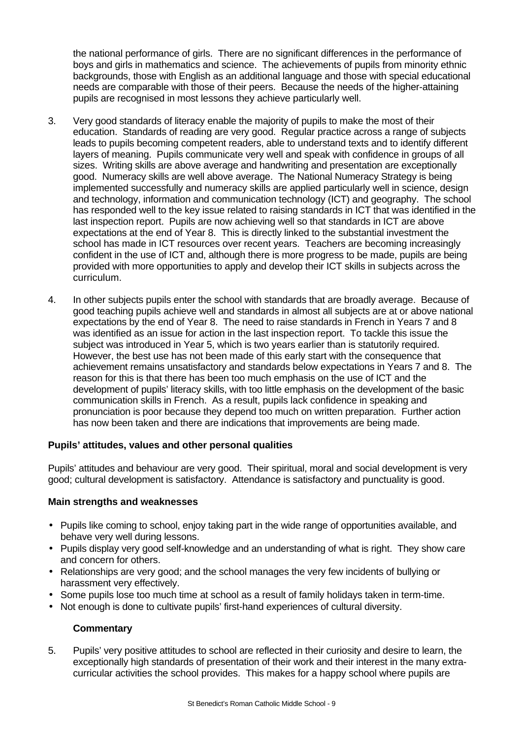the national performance of girls. There are no significant differences in the performance of boys and girls in mathematics and science. The achievements of pupils from minority ethnic backgrounds, those with English as an additional language and those with special educational needs are comparable with those of their peers. Because the needs of the higher-attaining pupils are recognised in most lessons they achieve particularly well.

- 3. Very good standards of literacy enable the majority of pupils to make the most of their education. Standards of reading are very good. Regular practice across a range of subjects leads to pupils becoming competent readers, able to understand texts and to identify different layers of meaning. Pupils communicate very well and speak with confidence in groups of all sizes. Writing skills are above average and handwriting and presentation are exceptionally good. Numeracy skills are well above average. The National Numeracy Strategy is being implemented successfully and numeracy skills are applied particularly well in science, design and technology, information and communication technology (ICT) and geography. The school has responded well to the key issue related to raising standards in ICT that was identified in the last inspection report. Pupils are now achieving well so that standards in ICT are above expectations at the end of Year 8. This is directly linked to the substantial investment the school has made in ICT resources over recent years. Teachers are becoming increasingly confident in the use of ICT and, although there is more progress to be made, pupils are being provided with more opportunities to apply and develop their ICT skills in subjects across the curriculum.
- 4. In other subjects pupils enter the school with standards that are broadly average. Because of good teaching pupils achieve well and standards in almost all subjects are at or above national expectations by the end of Year 8. The need to raise standards in French in Years 7 and 8 was identified as an issue for action in the last inspection report. To tackle this issue the subject was introduced in Year 5, which is two years earlier than is statutorily required. However, the best use has not been made of this early start with the consequence that achievement remains unsatisfactory and standards below expectations in Years 7 and 8. The reason for this is that there has been too much emphasis on the use of ICT and the development of pupils' literacy skills, with too little emphasis on the development of the basic communication skills in French. As a result, pupils lack confidence in speaking and pronunciation is poor because they depend too much on written preparation. Further action has now been taken and there are indications that improvements are being made.

# **Pupils' attitudes, values and other personal qualities**

Pupils' attitudes and behaviour are very good. Their spiritual, moral and social development is very good; cultural development is satisfactory. Attendance is satisfactory and punctuality is good.

#### **Main strengths and weaknesses**

- Pupils like coming to school, enjoy taking part in the wide range of opportunities available, and behave very well during lessons.
- Pupils display very good self-knowledge and an understanding of what is right. They show care and concern for others.
- Relationships are very good; and the school manages the very few incidents of bullying or harassment very effectively.
- Some pupils lose too much time at school as a result of family holidays taken in term-time.
- Not enough is done to cultivate pupils' first-hand experiences of cultural diversity.

#### **Commentary**

5. Pupils' very positive attitudes to school are reflected in their curiosity and desire to learn, the exceptionally high standards of presentation of their work and their interest in the many extracurricular activities the school provides. This makes for a happy school where pupils are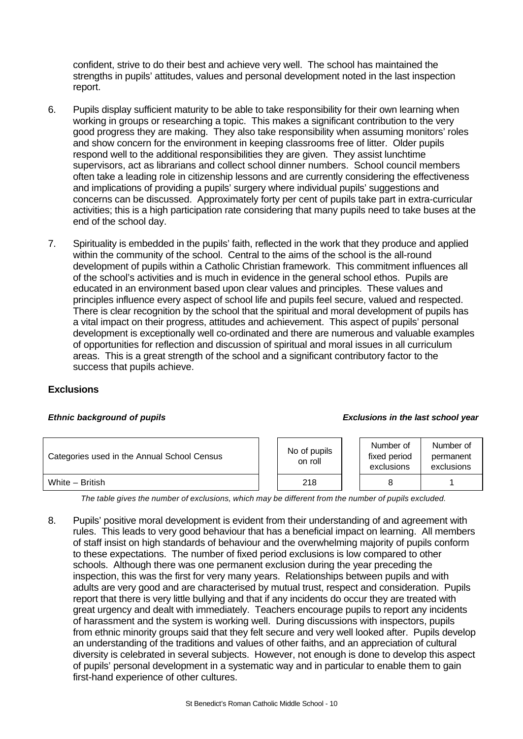confident, strive to do their best and achieve very well. The school has maintained the strengths in pupils' attitudes, values and personal development noted in the last inspection report.

- 6. Pupils display sufficient maturity to be able to take responsibility for their own learning when working in groups or researching a topic. This makes a significant contribution to the very good progress they are making. They also take responsibility when assuming monitors' roles and show concern for the environment in keeping classrooms free of litter. Older pupils respond well to the additional responsibilities they are given. They assist lunchtime supervisors, act as librarians and collect school dinner numbers. School council members often take a leading role in citizenship lessons and are currently considering the effectiveness and implications of providing a pupils' surgery where individual pupils' suggestions and concerns can be discussed. Approximately forty per cent of pupils take part in extra-curricular activities; this is a high participation rate considering that many pupils need to take buses at the end of the school day.
- 7. Spirituality is embedded in the pupils' faith, reflected in the work that they produce and applied within the community of the school. Central to the aims of the school is the all-round development of pupils within a Catholic Christian framework. This commitment influences all of the school's activities and is much in evidence in the general school ethos. Pupils are educated in an environment based upon clear values and principles. These values and principles influence every aspect of school life and pupils feel secure, valued and respected. There is clear recognition by the school that the spiritual and moral development of pupils has a vital impact on their progress, attitudes and achievement. This aspect of pupils' personal development is exceptionally well co-ordinated and there are numerous and valuable examples of opportunities for reflection and discussion of spiritual and moral issues in all curriculum areas. This is a great strength of the school and a significant contributory factor to the success that pupils achieve.

#### **Exclusions**

#### *Ethnic background of pupils Exclusions in the last school year*

| Categories used in the Annual School Census | No of pupils<br>on roll | Number of<br>fixed period<br>exclusions | Number of<br>permanent<br>exclusions |
|---------------------------------------------|-------------------------|-----------------------------------------|--------------------------------------|
| White - British                             | 218                     |                                         |                                      |

*The table gives the number of exclusions, which may be different from the number of pupils excluded.*

8. Pupils' positive moral development is evident from their understanding of and agreement with rules. This leads to very good behaviour that has a beneficial impact on learning. All members of staff insist on high standards of behaviour and the overwhelming majority of pupils conform to these expectations. The number of fixed period exclusions is low compared to other schools. Although there was one permanent exclusion during the year preceding the inspection, this was the first for very many years. Relationships between pupils and with adults are very good and are characterised by mutual trust, respect and consideration. Pupils report that there is very little bullying and that if any incidents do occur they are treated with great urgency and dealt with immediately. Teachers encourage pupils to report any incidents of harassment and the system is working well. During discussions with inspectors, pupils from ethnic minority groups said that they felt secure and very well looked after. Pupils develop an understanding of the traditions and values of other faiths, and an appreciation of cultural diversity is celebrated in several subjects. However, not enough is done to develop this aspect of pupils' personal development in a systematic way and in particular to enable them to gain first-hand experience of other cultures.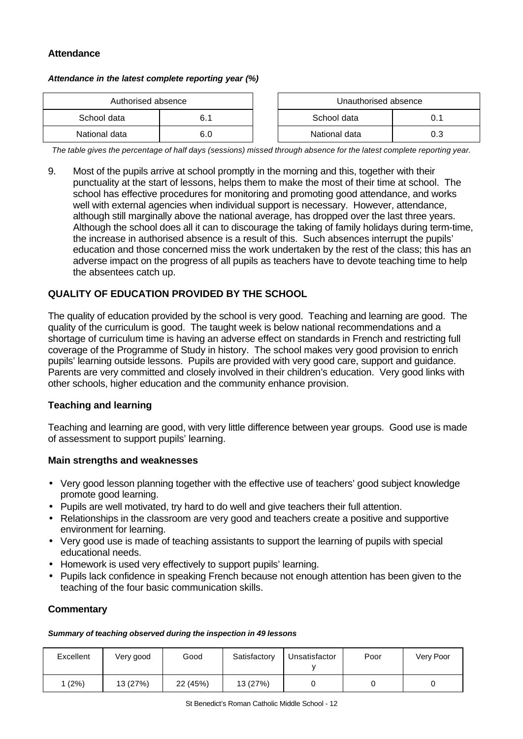# **Attendance**

#### *Attendance in the latest complete reporting year (%)*

| Authorised absence |     |  | Unauthorised absence |     |
|--------------------|-----|--|----------------------|-----|
| School data        | 6.1 |  | School data          | 0.1 |
| National data      | 6.0 |  | National data        | 0.3 |

*The table gives the percentage of half days (sessions) missed through absence for the latest complete reporting year.*

9. Most of the pupils arrive at school promptly in the morning and this, together with their punctuality at the start of lessons, helps them to make the most of their time at school. The school has effective procedures for monitoring and promoting good attendance, and works well with external agencies when individual support is necessary. However, attendance, although still marginally above the national average, has dropped over the last three years. Although the school does all it can to discourage the taking of family holidays during term-time, the increase in authorised absence is a result of this. Such absences interrupt the pupils' education and those concerned miss the work undertaken by the rest of the class; this has an adverse impact on the progress of all pupils as teachers have to devote teaching time to help the absentees catch up.

#### **QUALITY OF EDUCATION PROVIDED BY THE SCHOOL**

The quality of education provided by the school is very good. Teaching and learning are good. The quality of the curriculum is good. The taught week is below national recommendations and a shortage of curriculum time is having an adverse effect on standards in French and restricting full coverage of the Programme of Study in history. The school makes very good provision to enrich pupils' learning outside lessons. Pupils are provided with very good care, support and guidance. Parents are very committed and closely involved in their children's education. Very good links with other schools, higher education and the community enhance provision.

#### **Teaching and learning**

Teaching and learning are good, with very little difference between year groups. Good use is made of assessment to support pupils' learning.

#### **Main strengths and weaknesses**

- Very good lesson planning together with the effective use of teachers' good subject knowledge promote good learning.
- Pupils are well motivated, try hard to do well and give teachers their full attention.
- Relationships in the classroom are very good and teachers create a positive and supportive environment for learning.
- Very good use is made of teaching assistants to support the learning of pupils with special educational needs.
- Homework is used very effectively to support pupils' learning.
- Pupils lack confidence in speaking French because not enough attention has been given to the teaching of the four basic communication skills.

#### **Commentary**

#### *Summary of teaching observed during the inspection in 49 lessons*

| Excellent | Very good | Good     | Satisfactory | Unsatisfactor | Poor | Very Poor |
|-----------|-----------|----------|--------------|---------------|------|-----------|
| (2%)      | 13 (27%)  | 22 (45%) | 13 (27%)     |               |      |           |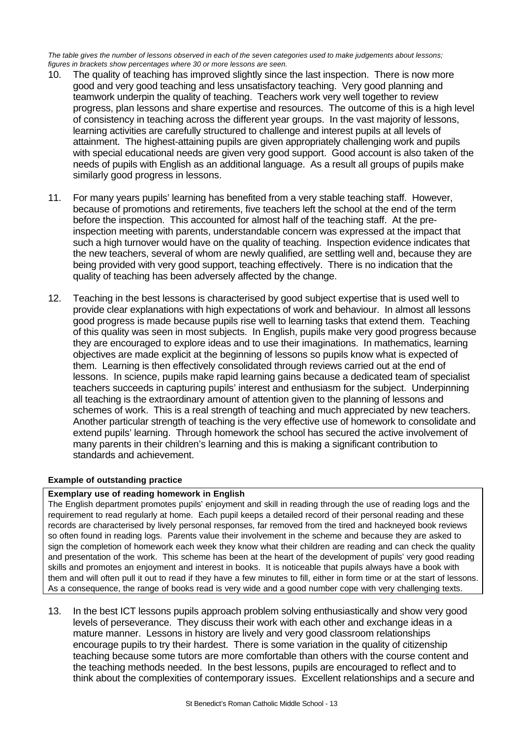*The table gives the number of lessons observed in each of the seven categories used to make judgements about lessons; figures in brackets show percentages where 30 or more lessons are seen.*

- 10. The quality of teaching has improved slightly since the last inspection. There is now more good and very good teaching and less unsatisfactory teaching. Very good planning and teamwork underpin the quality of teaching. Teachers work very well together to review progress, plan lessons and share expertise and resources. The outcome of this is a high level of consistency in teaching across the different year groups. In the vast majority of lessons, learning activities are carefully structured to challenge and interest pupils at all levels of attainment. The highest-attaining pupils are given appropriately challenging work and pupils with special educational needs are given very good support. Good account is also taken of the needs of pupils with English as an additional language. As a result all groups of pupils make similarly good progress in lessons.
- 11. For many years pupils' learning has benefited from a very stable teaching staff. However, because of promotions and retirements, five teachers left the school at the end of the term before the inspection. This accounted for almost half of the teaching staff. At the preinspection meeting with parents, understandable concern was expressed at the impact that such a high turnover would have on the quality of teaching. Inspection evidence indicates that the new teachers, several of whom are newly qualified, are settling well and, because they are being provided with very good support, teaching effectively. There is no indication that the quality of teaching has been adversely affected by the change.
- 12. Teaching in the best lessons is characterised by good subject expertise that is used well to provide clear explanations with high expectations of work and behaviour. In almost all lessons good progress is made because pupils rise well to learning tasks that extend them. Teaching of this quality was seen in most subjects. In English, pupils make very good progress because they are encouraged to explore ideas and to use their imaginations. In mathematics, learning objectives are made explicit at the beginning of lessons so pupils know what is expected of them. Learning is then effectively consolidated through reviews carried out at the end of lessons. In science, pupils make rapid learning gains because a dedicated team of specialist teachers succeeds in capturing pupils' interest and enthusiasm for the subject. Underpinning all teaching is the extraordinary amount of attention given to the planning of lessons and schemes of work. This is a real strength of teaching and much appreciated by new teachers. Another particular strength of teaching is the very effective use of homework to consolidate and extend pupils' learning. Through homework the school has secured the active involvement of many parents in their children's learning and this is making a significant contribution to standards and achievement.

#### **Example of outstanding practice**

#### **Exemplary use of reading homework in English**

The English department promotes pupils' enjoyment and skill in reading through the use of reading logs and the requirement to read regularly at home. Each pupil keeps a detailed record of their personal reading and these records are characterised by lively personal responses, far removed from the tired and hackneyed book reviews so often found in reading logs. Parents value their involvement in the scheme and because they are asked to sign the completion of homework each week they know what their children are reading and can check the quality and presentation of the work. This scheme has been at the heart of the development of pupils' very good reading skills and promotes an enjoyment and interest in books. It is noticeable that pupils always have a book with them and will often pull it out to read if they have a few minutes to fill, either in form time or at the start of lessons. As a consequence, the range of books read is very wide and a good number cope with very challenging texts.

13. In the best ICT lessons pupils approach problem solving enthusiastically and show very good levels of perseverance. They discuss their work with each other and exchange ideas in a mature manner. Lessons in history are lively and very good classroom relationships encourage pupils to try their hardest. There is some variation in the quality of citizenship teaching because some tutors are more comfortable than others with the course content and the teaching methods needed. In the best lessons, pupils are encouraged to reflect and to think about the complexities of contemporary issues. Excellent relationships and a secure and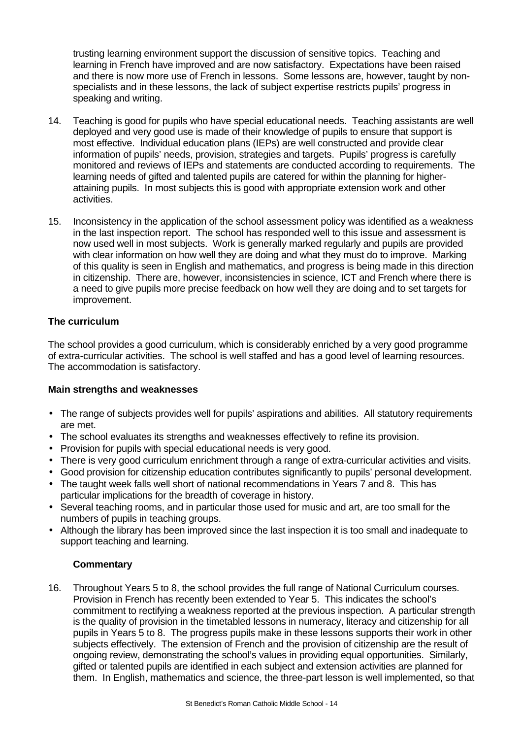trusting learning environment support the discussion of sensitive topics. Teaching and learning in French have improved and are now satisfactory. Expectations have been raised and there is now more use of French in lessons. Some lessons are, however, taught by nonspecialists and in these lessons, the lack of subject expertise restricts pupils' progress in speaking and writing.

- 14. Teaching is good for pupils who have special educational needs. Teaching assistants are well deployed and very good use is made of their knowledge of pupils to ensure that support is most effective. Individual education plans (IEPs) are well constructed and provide clear information of pupils' needs, provision, strategies and targets. Pupils' progress is carefully monitored and reviews of IEPs and statements are conducted according to requirements. The learning needs of gifted and talented pupils are catered for within the planning for higherattaining pupils. In most subjects this is good with appropriate extension work and other activities.
- 15. Inconsistency in the application of the school assessment policy was identified as a weakness in the last inspection report. The school has responded well to this issue and assessment is now used well in most subjects. Work is generally marked regularly and pupils are provided with clear information on how well they are doing and what they must do to improve. Marking of this quality is seen in English and mathematics, and progress is being made in this direction in citizenship. There are, however, inconsistencies in science, ICT and French where there is a need to give pupils more precise feedback on how well they are doing and to set targets for improvement.

# **The curriculum**

The school provides a good curriculum, which is considerably enriched by a very good programme of extra-curricular activities. The school is well staffed and has a good level of learning resources. The accommodation is satisfactory.

#### **Main strengths and weaknesses**

- The range of subjects provides well for pupils' aspirations and abilities. All statutory requirements are met.
- The school evaluates its strengths and weaknesses effectively to refine its provision.
- Provision for pupils with special educational needs is very good.
- There is very good curriculum enrichment through a range of extra-curricular activities and visits.
- Good provision for citizenship education contributes significantly to pupils' personal development.
- The taught week falls well short of national recommendations in Years 7 and 8. This has particular implications for the breadth of coverage in history.
- Several teaching rooms, and in particular those used for music and art, are too small for the numbers of pupils in teaching groups.
- Although the library has been improved since the last inspection it is too small and inadequate to support teaching and learning.

#### **Commentary**

16. Throughout Years 5 to 8, the school provides the full range of National Curriculum courses. Provision in French has recently been extended to Year 5. This indicates the school's commitment to rectifying a weakness reported at the previous inspection. A particular strength is the quality of provision in the timetabled lessons in numeracy, literacy and citizenship for all pupils in Years 5 to 8. The progress pupils make in these lessons supports their work in other subjects effectively. The extension of French and the provision of citizenship are the result of ongoing review, demonstrating the school's values in providing equal opportunities. Similarly, gifted or talented pupils are identified in each subject and extension activities are planned for them. In English, mathematics and science, the three-part lesson is well implemented, so that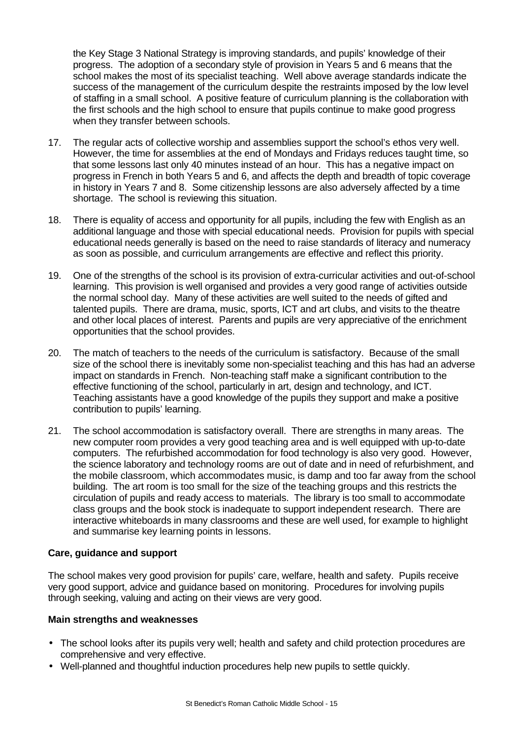the Key Stage 3 National Strategy is improving standards, and pupils' knowledge of their progress. The adoption of a secondary style of provision in Years 5 and 6 means that the school makes the most of its specialist teaching. Well above average standards indicate the success of the management of the curriculum despite the restraints imposed by the low level of staffing in a small school. A positive feature of curriculum planning is the collaboration with the first schools and the high school to ensure that pupils continue to make good progress when they transfer between schools.

- 17. The regular acts of collective worship and assemblies support the school's ethos very well. However, the time for assemblies at the end of Mondays and Fridays reduces taught time, so that some lessons last only 40 minutes instead of an hour. This has a negative impact on progress in French in both Years 5 and 6, and affects the depth and breadth of topic coverage in history in Years 7 and 8. Some citizenship lessons are also adversely affected by a time shortage. The school is reviewing this situation.
- 18. There is equality of access and opportunity for all pupils, including the few with English as an additional language and those with special educational needs. Provision for pupils with special educational needs generally is based on the need to raise standards of literacy and numeracy as soon as possible, and curriculum arrangements are effective and reflect this priority.
- 19. One of the strengths of the school is its provision of extra-curricular activities and out-of-school learning. This provision is well organised and provides a very good range of activities outside the normal school day. Many of these activities are well suited to the needs of gifted and talented pupils. There are drama, music, sports, ICT and art clubs, and visits to the theatre and other local places of interest. Parents and pupils are very appreciative of the enrichment opportunities that the school provides.
- 20. The match of teachers to the needs of the curriculum is satisfactory. Because of the small size of the school there is inevitably some non-specialist teaching and this has had an adverse impact on standards in French. Non-teaching staff make a significant contribution to the effective functioning of the school, particularly in art, design and technology, and ICT. Teaching assistants have a good knowledge of the pupils they support and make a positive contribution to pupils' learning.
- 21. The school accommodation is satisfactory overall. There are strengths in many areas. The new computer room provides a very good teaching area and is well equipped with up-to-date computers. The refurbished accommodation for food technology is also very good. However, the science laboratory and technology rooms are out of date and in need of refurbishment, and the mobile classroom, which accommodates music, is damp and too far away from the school building. The art room is too small for the size of the teaching groups and this restricts the circulation of pupils and ready access to materials. The library is too small to accommodate class groups and the book stock is inadequate to support independent research. There are interactive whiteboards in many classrooms and these are well used, for example to highlight and summarise key learning points in lessons.

#### **Care, guidance and support**

The school makes very good provision for pupils' care, welfare, health and safety. Pupils receive very good support, advice and guidance based on monitoring. Procedures for involving pupils through seeking, valuing and acting on their views are very good.

#### **Main strengths and weaknesses**

- The school looks after its pupils very well; health and safety and child protection procedures are comprehensive and very effective.
- Well-planned and thoughtful induction procedures help new pupils to settle quickly.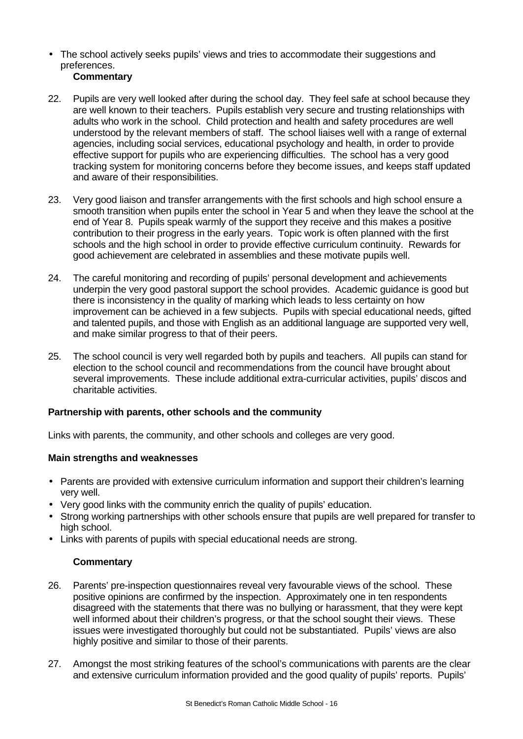• The school actively seeks pupils' views and tries to accommodate their suggestions and preferences.

# **Commentary**

- 22. Pupils are very well looked after during the school day. They feel safe at school because they are well known to their teachers. Pupils establish very secure and trusting relationships with adults who work in the school. Child protection and health and safety procedures are well understood by the relevant members of staff. The school liaises well with a range of external agencies, including social services, educational psychology and health, in order to provide effective support for pupils who are experiencing difficulties. The school has a very good tracking system for monitoring concerns before they become issues, and keeps staff updated and aware of their responsibilities.
- 23. Very good liaison and transfer arrangements with the first schools and high school ensure a smooth transition when pupils enter the school in Year 5 and when they leave the school at the end of Year 8. Pupils speak warmly of the support they receive and this makes a positive contribution to their progress in the early years. Topic work is often planned with the first schools and the high school in order to provide effective curriculum continuity. Rewards for good achievement are celebrated in assemblies and these motivate pupils well.
- 24. The careful monitoring and recording of pupils' personal development and achievements underpin the very good pastoral support the school provides. Academic guidance is good but there is inconsistency in the quality of marking which leads to less certainty on how improvement can be achieved in a few subjects. Pupils with special educational needs, gifted and talented pupils, and those with English as an additional language are supported very well, and make similar progress to that of their peers.
- 25. The school council is very well regarded both by pupils and teachers. All pupils can stand for election to the school council and recommendations from the council have brought about several improvements. These include additional extra-curricular activities, pupils' discos and charitable activities.

# **Partnership with parents, other schools and the community**

Links with parents, the community, and other schools and colleges are very good.

# **Main strengths and weaknesses**

- Parents are provided with extensive curriculum information and support their children's learning very well.
- Very good links with the community enrich the quality of pupils' education.
- Strong working partnerships with other schools ensure that pupils are well prepared for transfer to high school.
- Links with parents of pupils with special educational needs are strong.

- 26. Parents' pre-inspection questionnaires reveal very favourable views of the school. These positive opinions are confirmed by the inspection. Approximately one in ten respondents disagreed with the statements that there was no bullying or harassment, that they were kept well informed about their children's progress, or that the school sought their views. These issues were investigated thoroughly but could not be substantiated. Pupils' views are also highly positive and similar to those of their parents.
- 27. Amongst the most striking features of the school's communications with parents are the clear and extensive curriculum information provided and the good quality of pupils' reports. Pupils'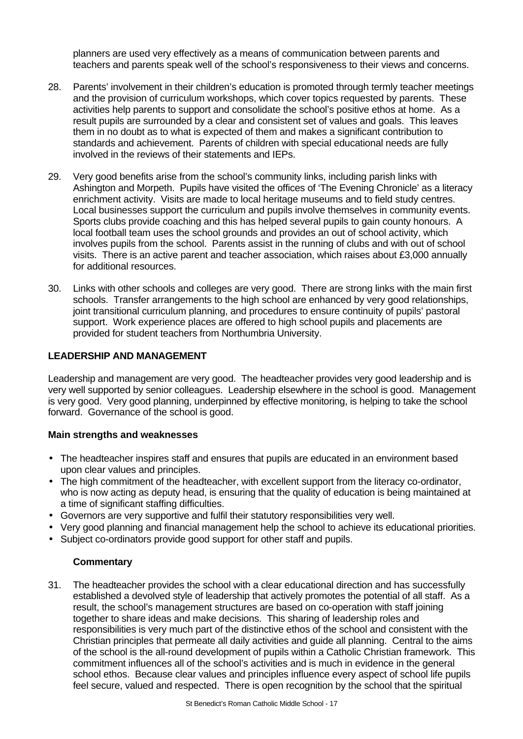planners are used very effectively as a means of communication between parents and teachers and parents speak well of the school's responsiveness to their views and concerns.

- 28. Parents' involvement in their children's education is promoted through termly teacher meetings and the provision of curriculum workshops, which cover topics requested by parents. These activities help parents to support and consolidate the school's positive ethos at home. As a result pupils are surrounded by a clear and consistent set of values and goals. This leaves them in no doubt as to what is expected of them and makes a significant contribution to standards and achievement. Parents of children with special educational needs are fully involved in the reviews of their statements and IEPs.
- 29. Very good benefits arise from the school's community links, including parish links with Ashington and Morpeth. Pupils have visited the offices of 'The Evening Chronicle' as a literacy enrichment activity. Visits are made to local heritage museums and to field study centres. Local businesses support the curriculum and pupils involve themselves in community events. Sports clubs provide coaching and this has helped several pupils to gain county honours. A local football team uses the school grounds and provides an out of school activity, which involves pupils from the school. Parents assist in the running of clubs and with out of school visits. There is an active parent and teacher association, which raises about £3,000 annually for additional resources.
- 30. Links with other schools and colleges are very good. There are strong links with the main first schools. Transfer arrangements to the high school are enhanced by very good relationships, joint transitional curriculum planning, and procedures to ensure continuity of pupils' pastoral support. Work experience places are offered to high school pupils and placements are provided for student teachers from Northumbria University.

#### **LEADERSHIP AND MANAGEMENT**

Leadership and management are very good. The headteacher provides very good leadership and is very well supported by senior colleagues. Leadership elsewhere in the school is good. Management is very good. Very good planning, underpinned by effective monitoring, is helping to take the school forward. Governance of the school is good.

#### **Main strengths and weaknesses**

- The headteacher inspires staff and ensures that pupils are educated in an environment based upon clear values and principles.
- The high commitment of the headteacher, with excellent support from the literacy co-ordinator, who is now acting as deputy head, is ensuring that the quality of education is being maintained at a time of significant staffing difficulties.
- Governors are very supportive and fulfil their statutory responsibilities very well.
- Very good planning and financial management help the school to achieve its educational priorities.
- Subject co-ordinators provide good support for other staff and pupils.

#### **Commentary**

31. The headteacher provides the school with a clear educational direction and has successfully established a devolved style of leadership that actively promotes the potential of all staff. As a result, the school's management structures are based on co-operation with staff joining together to share ideas and make decisions. This sharing of leadership roles and responsibilities is very much part of the distinctive ethos of the school and consistent with the Christian principles that permeate all daily activities and guide all planning. Central to the aims of the school is the all-round development of pupils within a Catholic Christian framework. This commitment influences all of the school's activities and is much in evidence in the general school ethos. Because clear values and principles influence every aspect of school life pupils feel secure, valued and respected. There is open recognition by the school that the spiritual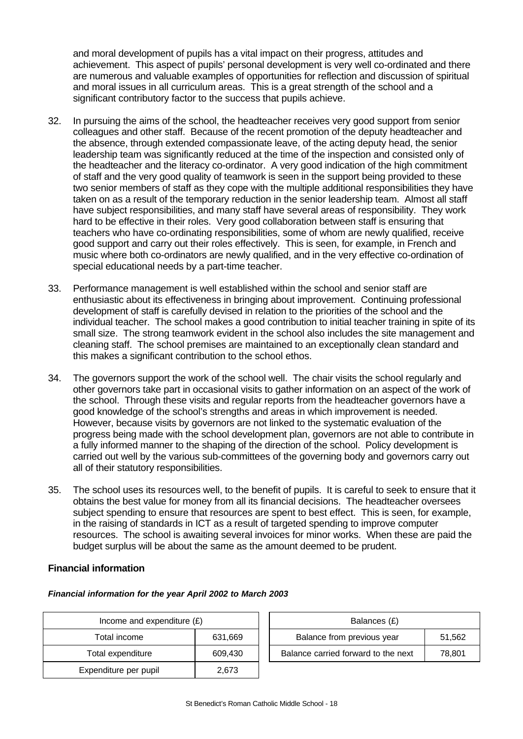and moral development of pupils has a vital impact on their progress, attitudes and achievement. This aspect of pupils' personal development is very well co-ordinated and there are numerous and valuable examples of opportunities for reflection and discussion of spiritual and moral issues in all curriculum areas. This is a great strength of the school and a significant contributory factor to the success that pupils achieve.

- 32. In pursuing the aims of the school, the headteacher receives very good support from senior colleagues and other staff. Because of the recent promotion of the deputy headteacher and the absence, through extended compassionate leave, of the acting deputy head, the senior leadership team was significantly reduced at the time of the inspection and consisted only of the headteacher and the literacy co-ordinator. A very good indication of the high commitment of staff and the very good quality of teamwork is seen in the support being provided to these two senior members of staff as they cope with the multiple additional responsibilities they have taken on as a result of the temporary reduction in the senior leadership team. Almost all staff have subject responsibilities, and many staff have several areas of responsibility. They work hard to be effective in their roles. Very good collaboration between staff is ensuring that teachers who have co-ordinating responsibilities, some of whom are newly qualified, receive good support and carry out their roles effectively. This is seen, for example, in French and music where both co-ordinators are newly qualified, and in the very effective co-ordination of special educational needs by a part-time teacher.
- 33. Performance management is well established within the school and senior staff are enthusiastic about its effectiveness in bringing about improvement. Continuing professional development of staff is carefully devised in relation to the priorities of the school and the individual teacher. The school makes a good contribution to initial teacher training in spite of its small size. The strong teamwork evident in the school also includes the site management and cleaning staff. The school premises are maintained to an exceptionally clean standard and this makes a significant contribution to the school ethos.
- 34. The governors support the work of the school well. The chair visits the school regularly and other governors take part in occasional visits to gather information on an aspect of the work of the school. Through these visits and regular reports from the headteacher governors have a good knowledge of the school's strengths and areas in which improvement is needed. However, because visits by governors are not linked to the systematic evaluation of the progress being made with the school development plan, governors are not able to contribute in a fully informed manner to the shaping of the direction of the school. Policy development is carried out well by the various sub-committees of the governing body and governors carry out all of their statutory responsibilities.
- 35. The school uses its resources well, to the benefit of pupils. It is careful to seek to ensure that it obtains the best value for money from all its financial decisions. The headteacher oversees subject spending to ensure that resources are spent to best effect. This is seen, for example, in the raising of standards in ICT as a result of targeted spending to improve computer resources. The school is awaiting several invoices for minor works. When these are paid the budget surplus will be about the same as the amount deemed to be prudent.

#### **Financial information**

#### *Financial information for the year April 2002 to March 2003*

| Income and expenditure $(E)$ |         | Balances (£)                   |
|------------------------------|---------|--------------------------------|
| Total income                 | 631,669 | Balance from previous year     |
| Total expenditure            | 609,430 | Balance carried forward to the |
| Expenditure per pupil        | 2,673   |                                |

| Income and expenditure $(E)$ |         | Balances (£)                        |        |
|------------------------------|---------|-------------------------------------|--------|
| Total income                 | 631.669 | Balance from previous year          | 51.562 |
| Total expenditure            | 609.430 | Balance carried forward to the next | 78.801 |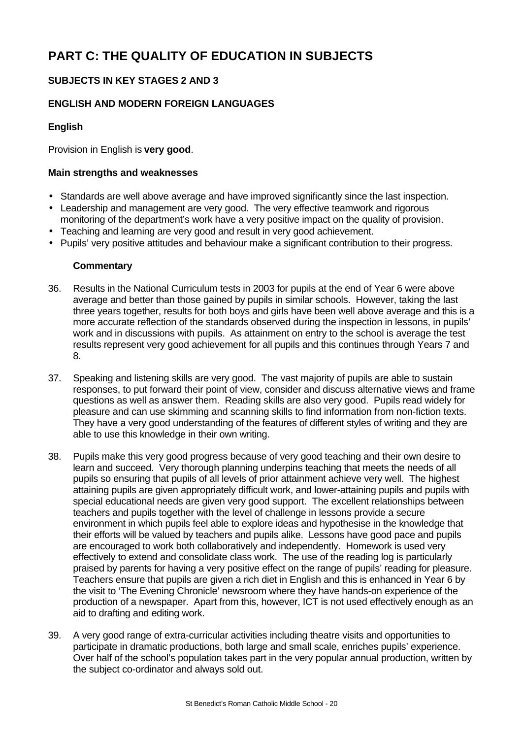# **PART C: THE QUALITY OF EDUCATION IN SUBJECTS**

# **SUBJECTS IN KEY STAGES 2 AND 3**

# **ENGLISH AND MODERN FOREIGN LANGUAGES**

# **English**

Provision in English is **very good**.

### **Main strengths and weaknesses**

- Standards are well above average and have improved significantly since the last inspection.
- Leadership and management are very good. The very effective teamwork and rigorous monitoring of the department's work have a very positive impact on the quality of provision.
- Teaching and learning are very good and result in very good achievement.
- Pupils' very positive attitudes and behaviour make a significant contribution to their progress.

- 36. Results in the National Curriculum tests in 2003 for pupils at the end of Year 6 were above average and better than those gained by pupils in similar schools. However, taking the last three years together, results for both boys and girls have been well above average and this is a more accurate reflection of the standards observed during the inspection in lessons, in pupils' work and in discussions with pupils. As attainment on entry to the school is average the test results represent very good achievement for all pupils and this continues through Years 7 and 8.
- 37. Speaking and listening skills are very good. The vast majority of pupils are able to sustain responses, to put forward their point of view, consider and discuss alternative views and frame questions as well as answer them. Reading skills are also very good. Pupils read widely for pleasure and can use skimming and scanning skills to find information from non-fiction texts. They have a very good understanding of the features of different styles of writing and they are able to use this knowledge in their own writing.
- 38. Pupils make this very good progress because of very good teaching and their own desire to learn and succeed. Very thorough planning underpins teaching that meets the needs of all pupils so ensuring that pupils of all levels of prior attainment achieve very well. The highest attaining pupils are given appropriately difficult work, and lower-attaining pupils and pupils with special educational needs are given very good support. The excellent relationships between teachers and pupils together with the level of challenge in lessons provide a secure environment in which pupils feel able to explore ideas and hypothesise in the knowledge that their efforts will be valued by teachers and pupils alike. Lessons have good pace and pupils are encouraged to work both collaboratively and independently. Homework is used very effectively to extend and consolidate class work. The use of the reading log is particularly praised by parents for having a very positive effect on the range of pupils' reading for pleasure. Teachers ensure that pupils are given a rich diet in English and this is enhanced in Year 6 by the visit to 'The Evening Chronicle' newsroom where they have hands-on experience of the production of a newspaper. Apart from this, however, ICT is not used effectively enough as an aid to drafting and editing work.
- 39. A very good range of extra-curricular activities including theatre visits and opportunities to participate in dramatic productions, both large and small scale, enriches pupils' experience. Over half of the school's population takes part in the very popular annual production, written by the subject co-ordinator and always sold out.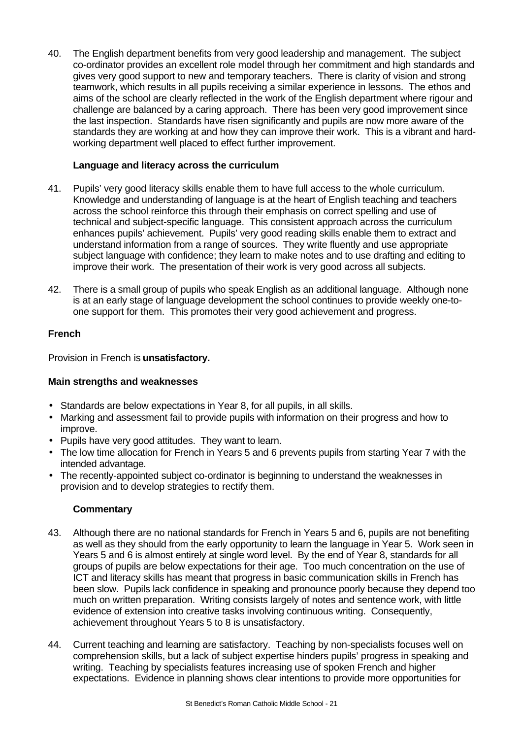40. The English department benefits from very good leadership and management. The subject co-ordinator provides an excellent role model through her commitment and high standards and gives very good support to new and temporary teachers. There is clarity of vision and strong teamwork, which results in all pupils receiving a similar experience in lessons. The ethos and aims of the school are clearly reflected in the work of the English department where rigour and challenge are balanced by a caring approach. There has been very good improvement since the last inspection. Standards have risen significantly and pupils are now more aware of the standards they are working at and how they can improve their work. This is a vibrant and hardworking department well placed to effect further improvement.

# **Language and literacy across the curriculum**

- 41. Pupils' very good literacy skills enable them to have full access to the whole curriculum. Knowledge and understanding of language is at the heart of English teaching and teachers across the school reinforce this through their emphasis on correct spelling and use of technical and subject-specific language. This consistent approach across the curriculum enhances pupils' achievement. Pupils' very good reading skills enable them to extract and understand information from a range of sources. They write fluently and use appropriate subject language with confidence; they learn to make notes and to use drafting and editing to improve their work. The presentation of their work is very good across all subjects.
- 42. There is a small group of pupils who speak English as an additional language. Although none is at an early stage of language development the school continues to provide weekly one-toone support for them. This promotes their very good achievement and progress.

# **French**

Provision in French is **unsatisfactory.**

#### **Main strengths and weaknesses**

- Standards are below expectations in Year 8, for all pupils, in all skills.
- Marking and assessment fail to provide pupils with information on their progress and how to improve.
- Pupils have very good attitudes. They want to learn.
- The low time allocation for French in Years 5 and 6 prevents pupils from starting Year 7 with the intended advantage.
- The recently-appointed subject co-ordinator is beginning to understand the weaknesses in provision and to develop strategies to rectify them.

- 43. Although there are no national standards for French in Years 5 and 6, pupils are not benefiting as well as they should from the early opportunity to learn the language in Year 5. Work seen in Years 5 and 6 is almost entirely at single word level. By the end of Year 8, standards for all groups of pupils are below expectations for their age. Too much concentration on the use of ICT and literacy skills has meant that progress in basic communication skills in French has been slow. Pupils lack confidence in speaking and pronounce poorly because they depend too much on written preparation. Writing consists largely of notes and sentence work, with little evidence of extension into creative tasks involving continuous writing. Consequently, achievement throughout Years 5 to 8 is unsatisfactory.
- 44. Current teaching and learning are satisfactory. Teaching by non-specialists focuses well on comprehension skills, but a lack of subject expertise hinders pupils' progress in speaking and writing. Teaching by specialists features increasing use of spoken French and higher expectations. Evidence in planning shows clear intentions to provide more opportunities for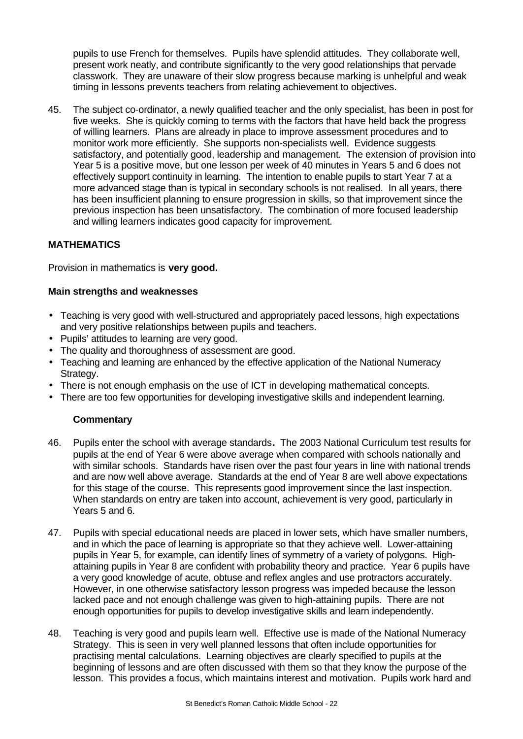pupils to use French for themselves. Pupils have splendid attitudes. They collaborate well, present work neatly, and contribute significantly to the very good relationships that pervade classwork. They are unaware of their slow progress because marking is unhelpful and weak timing in lessons prevents teachers from relating achievement to objectives.

45. The subject co-ordinator, a newly qualified teacher and the only specialist, has been in post for five weeks. She is quickly coming to terms with the factors that have held back the progress of willing learners. Plans are already in place to improve assessment procedures and to monitor work more efficiently. She supports non-specialists well. Evidence suggests satisfactory, and potentially good, leadership and management. The extension of provision into Year 5 is a positive move, but one lesson per week of 40 minutes in Years 5 and 6 does not effectively support continuity in learning. The intention to enable pupils to start Year 7 at a more advanced stage than is typical in secondary schools is not realised. In all years, there has been insufficient planning to ensure progression in skills, so that improvement since the previous inspection has been unsatisfactory. The combination of more focused leadership and willing learners indicates good capacity for improvement.

# **MATHEMATICS**

Provision in mathematics is **very good.**

# **Main strengths and weaknesses**

- Teaching is very good with well-structured and appropriately paced lessons, high expectations and very positive relationships between pupils and teachers.
- Pupils' attitudes to learning are very good.
- The quality and thoroughness of assessment are good.
- Teaching and learning are enhanced by the effective application of the National Numeracy Strategy.
- There is not enough emphasis on the use of ICT in developing mathematical concepts.
- There are too few opportunities for developing investigative skills and independent learning.

- 46. Pupils enter the school with average standards**.** The 2003 National Curriculum test results for pupils at the end of Year 6 were above average when compared with schools nationally and with similar schools. Standards have risen over the past four years in line with national trends and are now well above average. Standards at the end of Year 8 are well above expectations for this stage of the course. This represents good improvement since the last inspection. When standards on entry are taken into account, achievement is very good, particularly in Years 5 and 6.
- 47. Pupils with special educational needs are placed in lower sets, which have smaller numbers, and in which the pace of learning is appropriate so that they achieve well. Lower-attaining pupils in Year 5, for example, can identify lines of symmetry of a variety of polygons. Highattaining pupils in Year 8 are confident with probability theory and practice. Year 6 pupils have a very good knowledge of acute, obtuse and reflex angles and use protractors accurately. However, in one otherwise satisfactory lesson progress was impeded because the lesson lacked pace and not enough challenge was given to high-attaining pupils. There are not enough opportunities for pupils to develop investigative skills and learn independently.
- 48. Teaching is very good and pupils learn well. Effective use is made of the National Numeracy Strategy. This is seen in very well planned lessons that often include opportunities for practising mental calculations. Learning objectives are clearly specified to pupils at the beginning of lessons and are often discussed with them so that they know the purpose of the lesson. This provides a focus, which maintains interest and motivation. Pupils work hard and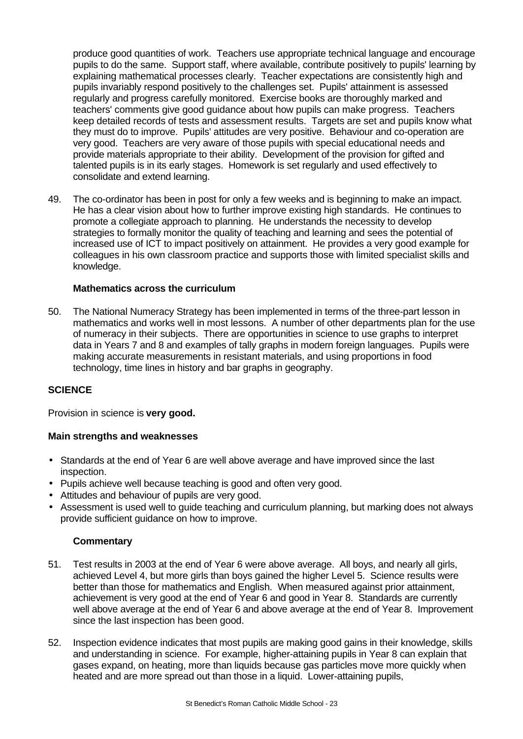produce good quantities of work. Teachers use appropriate technical language and encourage pupils to do the same. Support staff, where available, contribute positively to pupils' learning by explaining mathematical processes clearly. Teacher expectations are consistently high and pupils invariably respond positively to the challenges set. Pupils' attainment is assessed regularly and progress carefully monitored. Exercise books are thoroughly marked and teachers' comments give good guidance about how pupils can make progress. Teachers keep detailed records of tests and assessment results. Targets are set and pupils know what they must do to improve. Pupils' attitudes are very positive. Behaviour and co-operation are very good. Teachers are very aware of those pupils with special educational needs and provide materials appropriate to their ability. Development of the provision for gifted and talented pupils is in its early stages. Homework is set regularly and used effectively to consolidate and extend learning.

49. The co-ordinator has been in post for only a few weeks and is beginning to make an impact. He has a clear vision about how to further improve existing high standards. He continues to promote a collegiate approach to planning. He understands the necessity to develop strategies to formally monitor the quality of teaching and learning and sees the potential of increased use of ICT to impact positively on attainment. He provides a very good example for colleagues in his own classroom practice and supports those with limited specialist skills and knowledge.

#### **Mathematics across the curriculum**

50. The National Numeracy Strategy has been implemented in terms of the three-part lesson in mathematics and works well in most lessons. A number of other departments plan for the use of numeracy in their subjects. There are opportunities in science to use graphs to interpret data in Years 7 and 8 and examples of tally graphs in modern foreign languages. Pupils were making accurate measurements in resistant materials, and using proportions in food technology, time lines in history and bar graphs in geography.

#### **SCIENCE**

Provision in science is **very good.**

#### **Main strengths and weaknesses**

- Standards at the end of Year 6 are well above average and have improved since the last inspection.
- Pupils achieve well because teaching is good and often very good.
- Attitudes and behaviour of pupils are very good.
- Assessment is used well to guide teaching and curriculum planning, but marking does not always provide sufficient guidance on how to improve.

- 51. Test results in 2003 at the end of Year 6 were above average. All boys, and nearly all girls, achieved Level 4, but more girls than boys gained the higher Level 5. Science results were better than those for mathematics and English. When measured against prior attainment, achievement is very good at the end of Year 6 and good in Year 8. Standards are currently well above average at the end of Year 6 and above average at the end of Year 8. Improvement since the last inspection has been good.
- 52. Inspection evidence indicates that most pupils are making good gains in their knowledge, skills and understanding in science. For example, higher-attaining pupils in Year 8 can explain that gases expand, on heating, more than liquids because gas particles move more quickly when heated and are more spread out than those in a liquid. Lower-attaining pupils,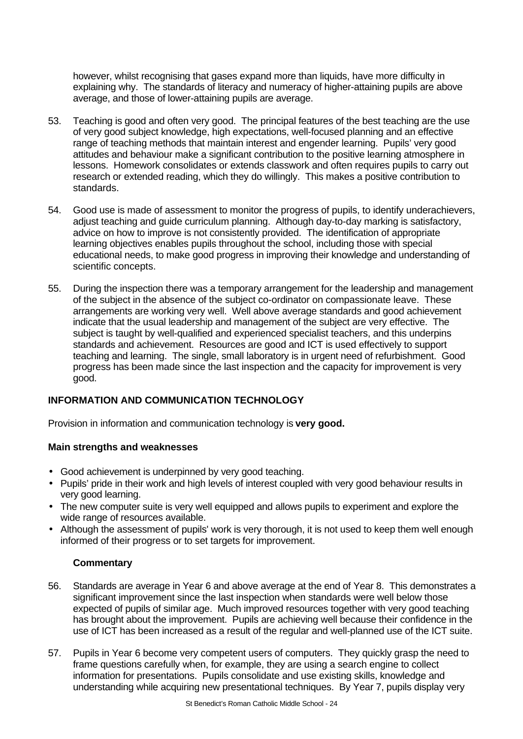however, whilst recognising that gases expand more than liquids, have more difficulty in explaining why. The standards of literacy and numeracy of higher-attaining pupils are above average, and those of lower-attaining pupils are average.

- 53. Teaching is good and often very good. The principal features of the best teaching are the use of very good subject knowledge, high expectations, well-focused planning and an effective range of teaching methods that maintain interest and engender learning. Pupils' very good attitudes and behaviour make a significant contribution to the positive learning atmosphere in lessons. Homework consolidates or extends classwork and often requires pupils to carry out research or extended reading, which they do willingly. This makes a positive contribution to standards.
- 54. Good use is made of assessment to monitor the progress of pupils, to identify underachievers, adjust teaching and guide curriculum planning. Although day-to-day marking is satisfactory, advice on how to improve is not consistently provided. The identification of appropriate learning objectives enables pupils throughout the school, including those with special educational needs, to make good progress in improving their knowledge and understanding of scientific concepts.
- 55. During the inspection there was a temporary arrangement for the leadership and management of the subject in the absence of the subject co-ordinator on compassionate leave. These arrangements are working very well. Well above average standards and good achievement indicate that the usual leadership and management of the subject are very effective. The subject is taught by well-qualified and experienced specialist teachers, and this underpins standards and achievement. Resources are good and ICT is used effectively to support teaching and learning. The single, small laboratory is in urgent need of refurbishment. Good progress has been made since the last inspection and the capacity for improvement is very good.

# **INFORMATION AND COMMUNICATION TECHNOLOGY**

Provision in information and communication technology is **very good.**

#### **Main strengths and weaknesses**

- Good achievement is underpinned by very good teaching.
- Pupils' pride in their work and high levels of interest coupled with very good behaviour results in very good learning.
- The new computer suite is very well equipped and allows pupils to experiment and explore the wide range of resources available.
- Although the assessment of pupils' work is very thorough, it is not used to keep them well enough informed of their progress or to set targets for improvement.

- 56. Standards are average in Year 6 and above average at the end of Year 8. This demonstrates a significant improvement since the last inspection when standards were well below those expected of pupils of similar age. Much improved resources together with very good teaching has brought about the improvement. Pupils are achieving well because their confidence in the use of ICT has been increased as a result of the regular and well-planned use of the ICT suite.
- 57. Pupils in Year 6 become very competent users of computers. They quickly grasp the need to frame questions carefully when, for example, they are using a search engine to collect information for presentations. Pupils consolidate and use existing skills, knowledge and understanding while acquiring new presentational techniques. By Year 7, pupils display very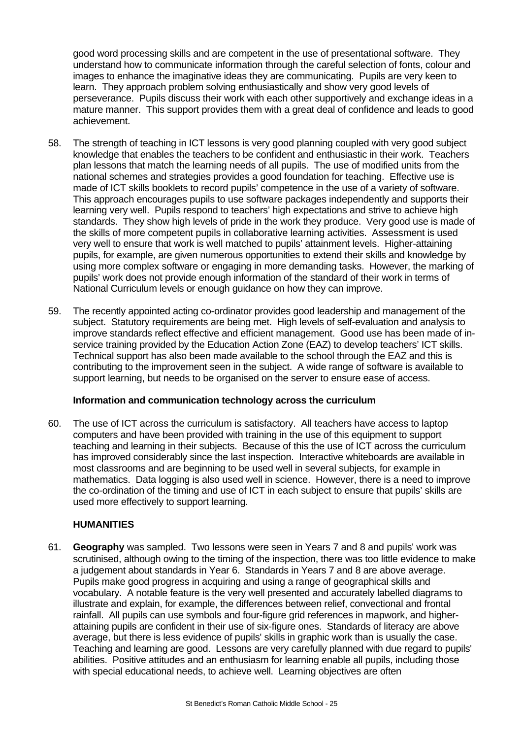good word processing skills and are competent in the use of presentational software. They understand how to communicate information through the careful selection of fonts, colour and images to enhance the imaginative ideas they are communicating. Pupils are very keen to learn. They approach problem solving enthusiastically and show very good levels of perseverance. Pupils discuss their work with each other supportively and exchange ideas in a mature manner. This support provides them with a great deal of confidence and leads to good achievement.

- 58. The strength of teaching in ICT lessons is very good planning coupled with very good subject knowledge that enables the teachers to be confident and enthusiastic in their work. Teachers plan lessons that match the learning needs of all pupils. The use of modified units from the national schemes and strategies provides a good foundation for teaching. Effective use is made of ICT skills booklets to record pupils' competence in the use of a variety of software. This approach encourages pupils to use software packages independently and supports their learning very well. Pupils respond to teachers' high expectations and strive to achieve high standards. They show high levels of pride in the work they produce. Very good use is made of the skills of more competent pupils in collaborative learning activities. Assessment is used very well to ensure that work is well matched to pupils' attainment levels. Higher-attaining pupils, for example, are given numerous opportunities to extend their skills and knowledge by using more complex software or engaging in more demanding tasks. However, the marking of pupils' work does not provide enough information of the standard of their work in terms of National Curriculum levels or enough guidance on how they can improve.
- 59. The recently appointed acting co-ordinator provides good leadership and management of the subject. Statutory requirements are being met. High levels of self-evaluation and analysis to improve standards reflect effective and efficient management. Good use has been made of inservice training provided by the Education Action Zone (EAZ) to develop teachers' ICT skills. Technical support has also been made available to the school through the EAZ and this is contributing to the improvement seen in the subject. A wide range of software is available to support learning, but needs to be organised on the server to ensure ease of access.

#### **Information and communication technology across the curriculum**

60. The use of ICT across the curriculum is satisfactory. All teachers have access to laptop computers and have been provided with training in the use of this equipment to support teaching and learning in their subjects. Because of this the use of ICT across the curriculum has improved considerably since the last inspection. Interactive whiteboards are available in most classrooms and are beginning to be used well in several subjects, for example in mathematics. Data logging is also used well in science. However, there is a need to improve the co-ordination of the timing and use of ICT in each subject to ensure that pupils' skills are used more effectively to support learning.

#### **HUMANITIES**

61. **Geography** was sampled. Two lessons were seen in Years 7 and 8 and pupils' work was scrutinised, although owing to the timing of the inspection, there was too little evidence to make a judgement about standards in Year 6. Standards in Years 7 and 8 are above average. Pupils make good progress in acquiring and using a range of geographical skills and vocabulary. A notable feature is the very well presented and accurately labelled diagrams to illustrate and explain, for example, the differences between relief, convectional and frontal rainfall. All pupils can use symbols and four-figure grid references in mapwork, and higherattaining pupils are confident in their use of six-figure ones. Standards of literacy are above average, but there is less evidence of pupils' skills in graphic work than is usually the case. Teaching and learning are good. Lessons are very carefully planned with due regard to pupils' abilities. Positive attitudes and an enthusiasm for learning enable all pupils, including those with special educational needs, to achieve well. Learning objectives are often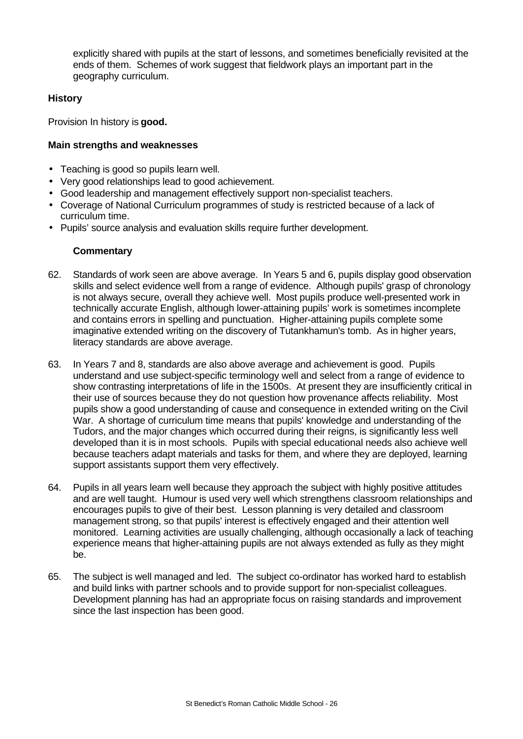explicitly shared with pupils at the start of lessons, and sometimes beneficially revisited at the ends of them. Schemes of work suggest that fieldwork plays an important part in the geography curriculum.

# **History**

Provision In history is **good.**

# **Main strengths and weaknesses**

- Teaching is good so pupils learn well.
- Very good relationships lead to good achievement.
- Good leadership and management effectively support non-specialist teachers.
- Coverage of National Curriculum programmes of study is restricted because of a lack of curriculum time.
- Pupils' source analysis and evaluation skills require further development.

- 62. Standards of work seen are above average. In Years 5 and 6, pupils display good observation skills and select evidence well from a range of evidence. Although pupils' grasp of chronology is not always secure, overall they achieve well. Most pupils produce well-presented work in technically accurate English, although lower-attaining pupils' work is sometimes incomplete and contains errors in spelling and punctuation. Higher-attaining pupils complete some imaginative extended writing on the discovery of Tutankhamun's tomb. As in higher years, literacy standards are above average.
- 63. In Years 7 and 8, standards are also above average and achievement is good. Pupils understand and use subject-specific terminology well and select from a range of evidence to show contrasting interpretations of life in the 1500s. At present they are insufficiently critical in their use of sources because they do not question how provenance affects reliability. Most pupils show a good understanding of cause and consequence in extended writing on the Civil War. A shortage of curriculum time means that pupils' knowledge and understanding of the Tudors, and the major changes which occurred during their reigns, is significantly less well developed than it is in most schools. Pupils with special educational needs also achieve well because teachers adapt materials and tasks for them, and where they are deployed, learning support assistants support them very effectively.
- 64. Pupils in all years learn well because they approach the subject with highly positive attitudes and are well taught. Humour is used very well which strengthens classroom relationships and encourages pupils to give of their best. Lesson planning is very detailed and classroom management strong, so that pupils' interest is effectively engaged and their attention well monitored. Learning activities are usually challenging, although occasionally a lack of teaching experience means that higher-attaining pupils are not always extended as fully as they might be.
- 65. The subject is well managed and led. The subject co-ordinator has worked hard to establish and build links with partner schools and to provide support for non-specialist colleagues. Development planning has had an appropriate focus on raising standards and improvement since the last inspection has been good.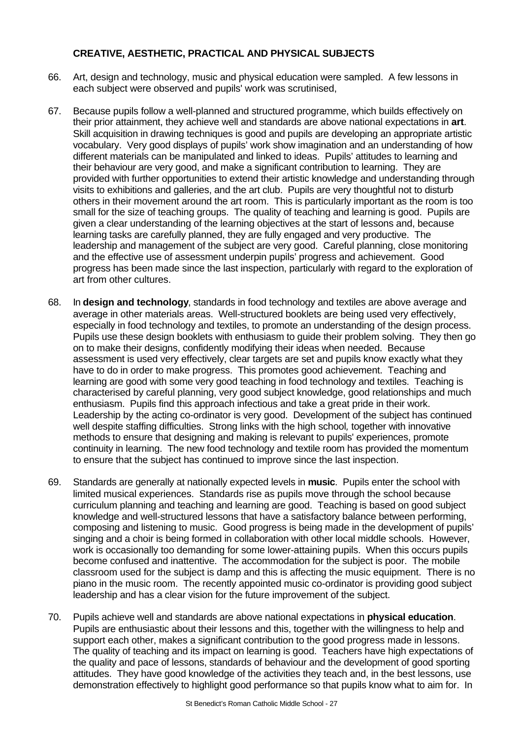# **CREATIVE, AESTHETIC, PRACTICAL AND PHYSICAL SUBJECTS**

- 66. Art, design and technology, music and physical education were sampled. A few lessons in each subject were observed and pupils' work was scrutinised,
- 67. Because pupils follow a well-planned and structured programme, which builds effectively on their prior attainment, they achieve well and standards are above national expectations in **art**. Skill acquisition in drawing techniques is good and pupils are developing an appropriate artistic vocabulary. Very good displays of pupils' work show imagination and an understanding of how different materials can be manipulated and linked to ideas. Pupils' attitudes to learning and their behaviour are very good, and make a significant contribution to learning. They are provided with further opportunities to extend their artistic knowledge and understanding through visits to exhibitions and galleries, and the art club. Pupils are very thoughtful not to disturb others in their movement around the art room. This is particularly important as the room is too small for the size of teaching groups. The quality of teaching and learning is good. Pupils are given a clear understanding of the learning objectives at the start of lessons and, because learning tasks are carefully planned, they are fully engaged and very productive. The leadership and management of the subject are very good. Careful planning, close monitoring and the effective use of assessment underpin pupils' progress and achievement. Good progress has been made since the last inspection, particularly with regard to the exploration of art from other cultures.
- 68. In **design and technology**, standards in food technology and textiles are above average and average in other materials areas. Well-structured booklets are being used very effectively, especially in food technology and textiles, to promote an understanding of the design process. Pupils use these design booklets with enthusiasm to guide their problem solving. They then go on to make their designs, confidently modifying their ideas when needed. Because assessment is used very effectively, clear targets are set and pupils know exactly what they have to do in order to make progress. This promotes good achievement. Teaching and learning are good with some very good teaching in food technology and textiles. Teaching is characterised by careful planning, very good subject knowledge, good relationships and much enthusiasm. Pupils find this approach infectious and take a great pride in their work. Leadership by the acting co-ordinator is very good. Development of the subject has continued well despite staffing difficulties. Strong links with the high school*,* together with innovative methods to ensure that designing and making is relevant to pupils' experiences, promote continuity in learning. The new food technology and textile room has provided the momentum to ensure that the subject has continued to improve since the last inspection.
- 69. Standards are generally at nationally expected levels in **music**. Pupils enter the school with limited musical experiences. Standards rise as pupils move through the school because curriculum planning and teaching and learning are good. Teaching is based on good subject knowledge and well-structured lessons that have a satisfactory balance between performing, composing and listening to music. Good progress is being made in the development of pupils' singing and a choir is being formed in collaboration with other local middle schools. However, work is occasionally too demanding for some lower-attaining pupils. When this occurs pupils become confused and inattentive. The accommodation for the subject is poor. The mobile classroom used for the subject is damp and this is affecting the music equipment. There is no piano in the music room. The recently appointed music co-ordinator is providing good subject leadership and has a clear vision for the future improvement of the subject.
- 70. Pupils achieve well and standards are above national expectations in **physical education**. Pupils are enthusiastic about their lessons and this, together with the willingness to help and support each other, makes a significant contribution to the good progress made in lessons. The quality of teaching and its impact on learning is good. Teachers have high expectations of the quality and pace of lessons, standards of behaviour and the development of good sporting attitudes. They have good knowledge of the activities they teach and, in the best lessons, use demonstration effectively to highlight good performance so that pupils know what to aim for. In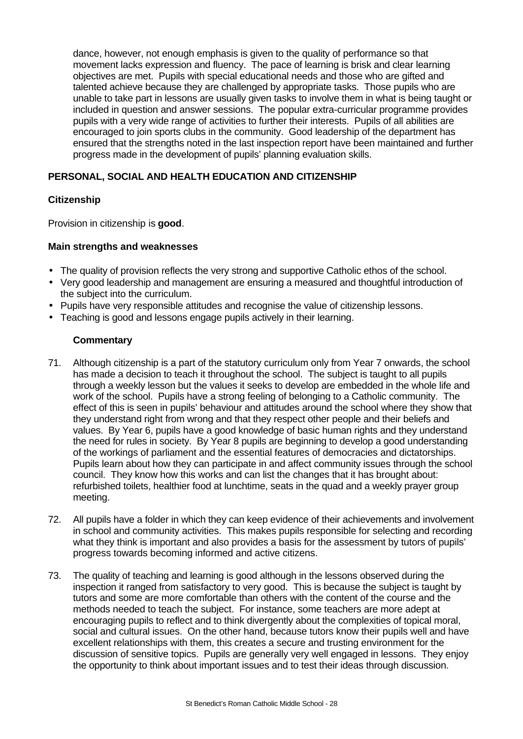dance, however, not enough emphasis is given to the quality of performance so that movement lacks expression and fluency. The pace of learning is brisk and clear learning objectives are met. Pupils with special educational needs and those who are gifted and talented achieve because they are challenged by appropriate tasks. Those pupils who are unable to take part in lessons are usually given tasks to involve them in what is being taught or included in question and answer sessions. The popular extra-curricular programme provides pupils with a very wide range of activities to further their interests. Pupils of all abilities are encouraged to join sports clubs in the community. Good leadership of the department has ensured that the strengths noted in the last inspection report have been maintained and further progress made in the development of pupils' planning evaluation skills.

# **PERSONAL, SOCIAL AND HEALTH EDUCATION AND CITIZENSHIP**

#### **Citizenship**

Provision in citizenship is **good**.

#### **Main strengths and weaknesses**

- The quality of provision reflects the very strong and supportive Catholic ethos of the school.
- Very good leadership and management are ensuring a measured and thoughtful introduction of the subject into the curriculum.
- Pupils have very responsible attitudes and recognise the value of citizenship lessons.
- Teaching is good and lessons engage pupils actively in their learning.

- 71. Although citizenship is a part of the statutory curriculum only from Year 7 onwards, the school has made a decision to teach it throughout the school. The subject is taught to all pupils through a weekly lesson but the values it seeks to develop are embedded in the whole life and work of the school. Pupils have a strong feeling of belonging to a Catholic community. The effect of this is seen in pupils' behaviour and attitudes around the school where they show that they understand right from wrong and that they respect other people and their beliefs and values. By Year 6, pupils have a good knowledge of basic human rights and they understand the need for rules in society. By Year 8 pupils are beginning to develop a good understanding of the workings of parliament and the essential features of democracies and dictatorships. Pupils learn about how they can participate in and affect community issues through the school council. They know how this works and can list the changes that it has brought about: refurbished toilets, healthier food at lunchtime, seats in the quad and a weekly prayer group meeting.
- 72. All pupils have a folder in which they can keep evidence of their achievements and involvement in school and community activities. This makes pupils responsible for selecting and recording what they think is important and also provides a basis for the assessment by tutors of pupils' progress towards becoming informed and active citizens.
- 73. The quality of teaching and learning is good although in the lessons observed during the inspection it ranged from satisfactory to very good. This is because the subject is taught by tutors and some are more comfortable than others with the content of the course and the methods needed to teach the subject. For instance, some teachers are more adept at encouraging pupils to reflect and to think divergently about the complexities of topical moral, social and cultural issues. On the other hand, because tutors know their pupils well and have excellent relationships with them, this creates a secure and trusting environment for the discussion of sensitive topics. Pupils are generally very well engaged in lessons. They enjoy the opportunity to think about important issues and to test their ideas through discussion.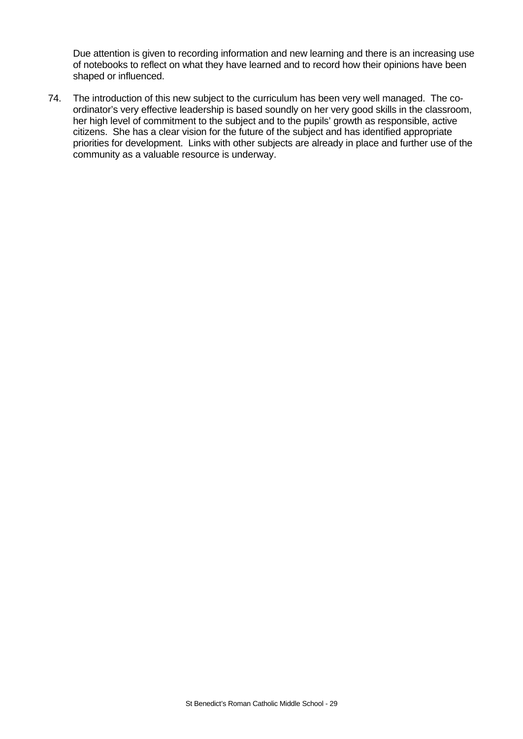Due attention is given to recording information and new learning and there is an increasing use of notebooks to reflect on what they have learned and to record how their opinions have been shaped or influenced.

74. The introduction of this new subject to the curriculum has been very well managed. The coordinator's very effective leadership is based soundly on her very good skills in the classroom, her high level of commitment to the subject and to the pupils' growth as responsible, active citizens. She has a clear vision for the future of the subject and has identified appropriate priorities for development. Links with other subjects are already in place and further use of the community as a valuable resource is underway.